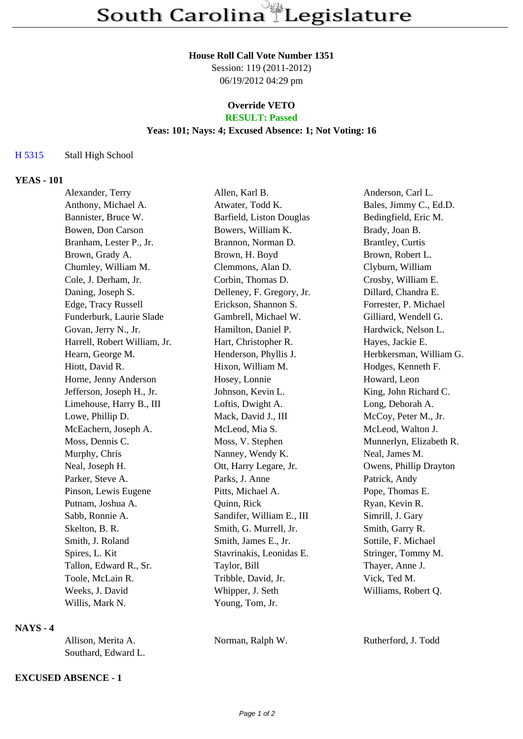#### **House Roll Call Vote Number 1351**

Session: 119 (2011-2012) 06/19/2012 04:29 pm

### **Override VETO RESULT: Passed**

# **Yeas: 101; Nays: 4; Excused Absence: 1; Not Voting: 16**

# H 5315 Stall High School

# **YEAS - 101**

| Alexander, Terry             | Allen, Karl B.            | Anderson, Carl L.       |
|------------------------------|---------------------------|-------------------------|
| Anthony, Michael A.          |                           | Bales, Jimmy C., Ed.D.  |
| Bannister, Bruce W.          | Barfield, Liston Douglas  | Bedingfield, Eric M.    |
| Bowen, Don Carson            | Bowers, William K.        | Brady, Joan B.          |
| Branham, Lester P., Jr.      | Brannon, Norman D.        | Brantley, Curtis        |
| Brown, Grady A.              | Brown, H. Boyd            | Brown, Robert L.        |
| Chumley, William M.          | Clemmons, Alan D.         | Clyburn, William        |
| Cole, J. Derham, Jr.         | Corbin, Thomas D.         | Crosby, William E.      |
| Daning, Joseph S.            | Delleney, F. Gregory, Jr. | Dillard, Chandra E.     |
| Edge, Tracy Russell          | Erickson, Shannon S.      | Forrester, P. Michael   |
| Funderburk, Laurie Slade     | Gambrell, Michael W.      | Gilliard, Wendell G.    |
| Govan, Jerry N., Jr.         | Hamilton, Daniel P.       | Hardwick, Nelson L.     |
| Harrell, Robert William, Jr. | Hart, Christopher R.      | Hayes, Jackie E.        |
| Hearn, George M.             | Henderson, Phyllis J.     | Herbkersman, William G. |
| Hiott, David R.              | Hixon, William M.         | Hodges, Kenneth F.      |
| Horne, Jenny Anderson        | Hosey, Lonnie             | Howard, Leon            |
| Jefferson, Joseph H., Jr.    | Johnson, Kevin L.         | King, John Richard C.   |
| Limehouse, Harry B., III     | Loftis, Dwight A.         | Long, Deborah A.        |
| Lowe, Phillip D.             | Mack, David J., III       | McCoy, Peter M., Jr.    |
| McEachern, Joseph A.         | McLeod, Mia S.            | McLeod, Walton J.       |
| Moss, Dennis C.              | Moss, V. Stephen          | Munnerlyn, Elizabeth R. |
| Murphy, Chris                | Nanney, Wendy K.          | Neal, James M.          |
| Neal, Joseph H.              | Ott, Harry Legare, Jr.    | Owens, Phillip Drayton  |
| Parker, Steve A.             | Parks, J. Anne            | Patrick, Andy           |
| Pinson, Lewis Eugene         | Pitts, Michael A.         | Pope, Thomas E.         |
| Putnam, Joshua A.            | Quinn, Rick               | Ryan, Kevin R.          |
| Sabb, Ronnie A.              | Sandifer, William E., III | Simrill, J. Gary        |
| Skelton, B. R.               | Smith, G. Murrell, Jr.    | Smith, Garry R.         |
| Smith, J. Roland             | Smith, James E., Jr.      | Sottile, F. Michael     |
| Spires, L. Kit               | Stavrinakis, Leonidas E.  | Stringer, Tommy M.      |
| Tallon, Edward R., Sr.       | Taylor, Bill              | Thayer, Anne J.         |
| Toole, McLain R.             | Tribble, David, Jr.       | Vick, Ted M.            |
| Weeks, J. David              | Whipper, J. Seth          | Williams, Robert Q.     |
| Willis, Mark N.              | Young, Tom, Jr.           |                         |
|                              |                           | Atwater, Todd K.        |

# **NAYS - 4**

| Allison, Merita A.  | Norman, Ralph W. | Ruthe |
|---------------------|------------------|-------|
| Southard, Edward L. |                  |       |

# erford, J. Todd